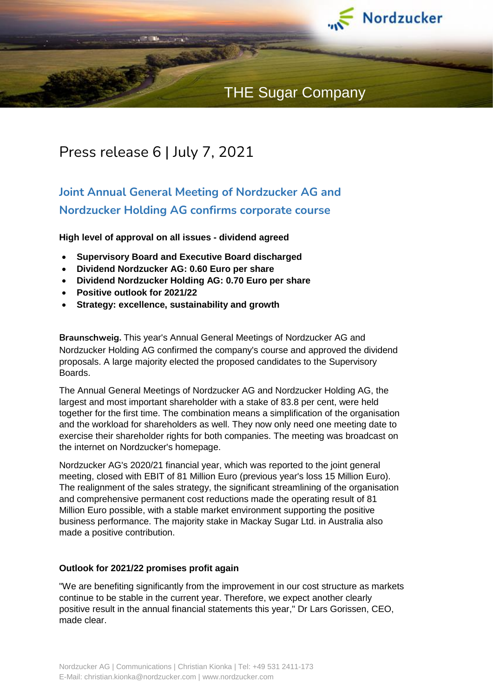

# THE Sugar Company

## Press release 6 | July 7, 2021

## **Joint Annual General Meeting of Nordzucker AG and Nordzucker Holding AG confirms corporate course**

**High level of approval on all issues - dividend agreed**

- **Supervisory Board and Executive Board discharged**
- **Dividend Nordzucker AG: 0.60 Euro per share**
- **Dividend Nordzucker Holding AG: 0.70 Euro per share**
- **Positive outlook for 2021/22**
- **Strategy: excellence, sustainability and growth**

**Braunschweig.** This year's Annual General Meetings of Nordzucker AG and Nordzucker Holding AG confirmed the company's course and approved the dividend proposals. A large majority elected the proposed candidates to the Supervisory Boards.

The Annual General Meetings of Nordzucker AG and Nordzucker Holding AG, the largest and most important shareholder with a stake of 83.8 per cent, were held together for the first time. The combination means a simplification of the organisation and the workload for shareholders as well. They now only need one meeting date to exercise their shareholder rights for both companies. The meeting was broadcast on the internet on Nordzucker's homepage.

Nordzucker AG's 2020/21 financial year, which was reported to the joint general meeting, closed with EBIT of 81 Million Euro (previous year's loss 15 Million Euro). The realignment of the sales strategy, the significant streamlining of the organisation and comprehensive permanent cost reductions made the operating result of 81 Million Euro possible, with a stable market environment supporting the positive business performance. The majority stake in Mackay Sugar Ltd. in Australia also made a positive contribution.

#### **Outlook for 2021/22 promises profit again**

"We are benefiting significantly from the improvement in our cost structure as markets continue to be stable in the current year. Therefore, we expect another clearly positive result in the annual financial statements this year," Dr Lars Gorissen, CEO, made clear.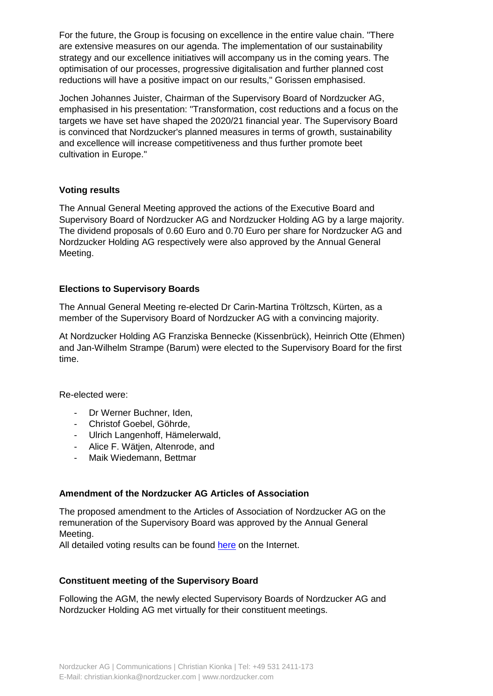For the future, the Group is focusing on excellence in the entire value chain. "There are extensive measures on our agenda. The implementation of our sustainability strategy and our excellence initiatives will accompany us in the coming years. The optimisation of our processes, progressive digitalisation and further planned cost reductions will have a positive impact on our results," Gorissen emphasised.

Jochen Johannes Juister, Chairman of the Supervisory Board of Nordzucker AG, emphasised in his presentation: "Transformation, cost reductions and a focus on the targets we have set have shaped the 2020/21 financial year. The Supervisory Board is convinced that Nordzucker's planned measures in terms of growth, sustainability and excellence will increase competitiveness and thus further promote beet cultivation in Europe."

### **Voting results**

The Annual General Meeting approved the actions of the Executive Board and Supervisory Board of Nordzucker AG and Nordzucker Holding AG by a large majority. The dividend proposals of 0.60 Euro and 0.70 Euro per share for Nordzucker AG and Nordzucker Holding AG respectively were also approved by the Annual General Meeting.

### **Elections to Supervisory Boards**

The Annual General Meeting re-elected Dr Carin-Martina Tröltzsch, Kürten, as a member of the Supervisory Board of Nordzucker AG with a convincing majority.

At Nordzucker Holding AG Franziska Bennecke (Kissenbrück), Heinrich Otte (Ehmen) and Jan-Wilhelm Strampe (Barum) were elected to the Supervisory Board for the first time.

Re-elected were:

- Dr Werner Buchner, Iden,
- Christof Goebel, Göhrde,
- Ulrich Langenhoff, Hämelerwald,
- Alice F. Wätjen, Altenrode, and
- Maik Wiedemann, Bettmar

#### **Amendment of the Nordzucker AG Articles of Association**

The proposed amendment to the Articles of Association of Nordzucker AG on the remuneration of the Supervisory Board was approved by the Annual General Meeting.

All detailed voting results can be found [here](https://www.nordzucker.com/de/download-kategorien/hv2021/) on the Internet.

#### **Constituent meeting of the Supervisory Board**

Following the AGM, the newly elected Supervisory Boards of Nordzucker AG and Nordzucker Holding AG met virtually for their constituent meetings.